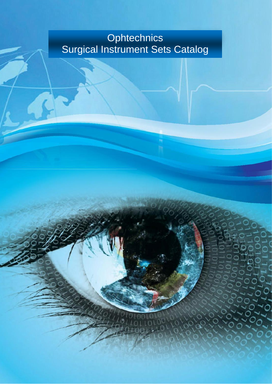## **Ophtechnics** Surgical Instrument Sets Catalog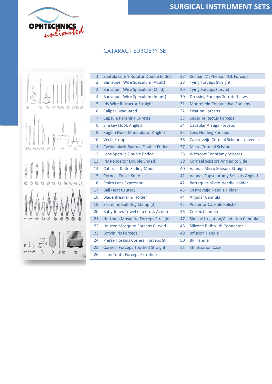ľ

### CATARACT SURGERY SET



| $\mathbf{1}$   | Spatula cum Y Rotator Double Ended        | 27 | Kelman McPherson IOL Forceps              |
|----------------|-------------------------------------------|----|-------------------------------------------|
| 2              | <b>Barraquer Wire Speculum (Adult)</b>    | 28 | <b>Tying Forceps Straight</b>             |
| 3              | Barraquer Wire Speculum (Child)           | 29 | <b>Tying Forceps Curved</b>               |
| 4              | <b>Barraquer Wire Speculum (Infant)</b>   | 30 | <b>Dressing Forceps Serrated Jaws</b>     |
| 5              | <b>Iris Wire Retractor Straight</b>       | 31 | <b>Moorefield Conjunctival Forceps</b>    |
| 6              | <b>Caliper Graduated</b>                  | 32 | <b>Fixation Forceps</b>                   |
| $\overline{7}$ | <b>Capsule Polishing Curette</b>          | 33 | <b>Superior Rectus Forceps</b>            |
| 8              | <b>Sinskey Hook Angled</b>                | 34 | Capsular Arruga Forceps                   |
| 9              | Kuglen Hook Manipulator Angled            | 35 | <b>Lens Holding Forceps</b>               |
| 10             | Vectis/Loop                               | 36 | Castroveijo Corneal Scissors Universal    |
| 11             | Cyclodialysis Spatula Double Ended        | 37 | <b>Micro Corneal Scissors</b>             |
| 12             | Lens Spatula Double Ended                 | 38 | <b>Westcott Tenotomy Scissors</b>         |
| 13             | <b>Iris Repositor Double Ended</b>        | 39 | <b>Corneal Scissors Angled to Side</b>    |
| 14             | <b>Cataract Knife Sliding Mode</b>        | 40 | <b>Vannas Micro Scissors Straight</b>     |
| 15             | <b>Corneal Tooks Knife</b>                | 41 | <b>Vannas Capsulotomy Scissors Angled</b> |
| 16             | <b>Smith Lens Expressor</b>               | 42 | <b>Barraquer Micro Needle Holder</b>      |
| 17             | <b>Ball Heat Cautery</b>                  | 43 | Castroveijo Needle Holder                 |
| 18             | <b>Blade Breaker &amp; Holder</b>         | 44 | <b>Angular Cannula</b>                    |
| 19             | Serrefine Bull Dog Clamp (2)              | 45 | <b>Posterior Capsule Polisher</b>         |
| 20             | <b>Baby Jones Towel Clip Cross Action</b> | 46 | Cortex Cannula                            |
| 21             | Hartman Mosquito Forceps Straight         | 47 | Simcoe Irrigation/Aspiration Cannula      |
| 22             | <b>Halsted Mosquito Forceps Curved</b>    | 48 | <b>Silicone Bulb with Connector</b>       |
| 23             | <b>Botvin Iris Forceps</b>                | 49 | <b>Infusion Handle</b>                    |
| 24             | Pierse Hoskins Corneal Forceps St         | 50 | <b>BP Handle</b>                          |
| 25             | <b>Corneal Forceps Toothed Straight</b>   | 51 | <b>Sterilization Case</b>                 |
| 26             | Lims Tooth Forceps Extrafine              |    |                                           |
|                |                                           |    |                                           |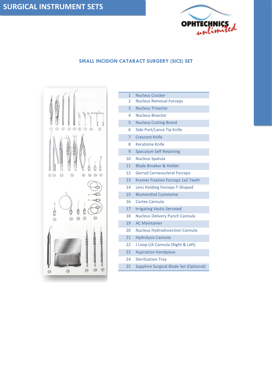

#### **SMALL INCISION CATARACT SURGERY (SICS) SET**



| $\mathbf{1}$   | <b>Nucleus Cracker</b>                   |
|----------------|------------------------------------------|
| I.             | <b>Nucleus Removal Forceps</b>           |
| $\overline{3}$ | <b>Nucleus Trisector</b>                 |
| 4              | <b>Nucleus Bisector</b>                  |
| 5              | <b>Nucleus Cutting Board</b>             |
| 6              | Side Port/Lance Tip Knife                |
| $\overline{7}$ | <b>Crescent Knife</b>                    |
| 8              | <b>Keratome Knife</b>                    |
| 9              | <b>Speculum Self Retaining</b>           |
| 10             | <b>Nucleus Spatula</b>                   |
| 11             | <b>Blade Breaker &amp; Holder</b>        |
| 12             | <b>Gerrad Corneoscleral Forceps</b>      |
| 13             | <b>Kramer Fixation Forceps 1x2 Teeth</b> |
| 14             | Lens Holding Forceps T-Shaped            |
| 15             | <b>Blumenthal Cystotome</b>              |
| 16             | Cortex Cannula                           |
| 17             | <b>Irrigating Vectis Serrated</b>        |
| 18             | <b>Nucleus Delivery Punch Cannula</b>    |
| 19             | <b>AC Maintainer</b>                     |
| 20             | <b>Nucleus Hydrodissection Cannula</b>   |
| 21             | <b>Hydrolysis Cannula</b>                |
| 22             | J Loop I/A Cannula (Right & Left)        |
| 23             | <b>Aspiration Handpiece</b>              |
| 24             | <b>Sterilization Tray</b>                |
| 25             | Sapphire Surgical Blade Set (Optional)   |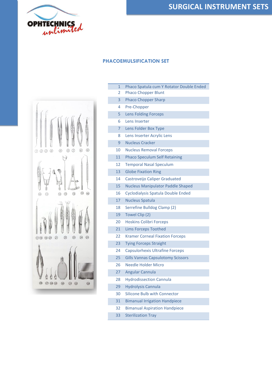

#### **PHACOEMULSIFICATION SET**

Г

I

ſ

I

I

I

I

I

I



| $\overline{2}$ | <b>Phaco Chopper Blunt</b>               |
|----------------|------------------------------------------|
| 3              | <b>Phaco Chopper Sharp</b>               |
| 4              | Pre-Chopper                              |
| 5              | <b>Lens Folding Forceps</b>              |
| 6              | Lens Inserter                            |
| 7              | Lens Folder Box Type                     |
| 8              | Lens Inserter Acrylic Lens               |
| 9              | <b>Nucleus Cracker</b>                   |
| 10             | <b>Nucleus Removal Forceps</b>           |
| 11             | <b>Phaco Speculum Self Retaining</b>     |
| 12             | <b>Temporal Nasal Speculum</b>           |
| 13             | <b>Globe Fixation Ring</b>               |
| 14             | Castroveijo Caliper Graduated            |
| 15             | <b>Nucleus Manipulator Paddle Shaped</b> |
| 16             | Cyclodialysis Spatula Double Ended       |
| 17             | <b>Nucleus Spatula</b>                   |
| 18             | Serrefine Bulldog Clamp (2)              |
| 19             | Towel Clip (2)                           |
| 20             | <b>Hoskins Colibri Forceps</b>           |
| 21             | <b>Lims Forceps Toothed</b>              |
| 22             | <b>Kramer Corneal Fixation Forceps</b>   |
| 23             | <b>Tying Forceps Straight</b>            |
| 24             | Capsulorhexis Ultrafine Forceps          |
| 25             | <b>Gills Vannas Capsulotomy Scissors</b> |
| 26             | <b>Needle Holder Micro</b>               |
| 27             | Angular Cannula                          |
| 28             | <b>Hydrodissection Cannula</b>           |
| 29             | <b>Hydrolysis Cannula</b>                |
| 30             | Silicone Bulb with Connector             |
| 31             | <b>Bimanual Irrigation Handpiece</b>     |
| 32             | <b>Bimanual Aspiration Handpiece</b>     |
| 33             | <b>Sterilization Tray</b>                |

Phaco Spatula cum Y Rotator Double Ended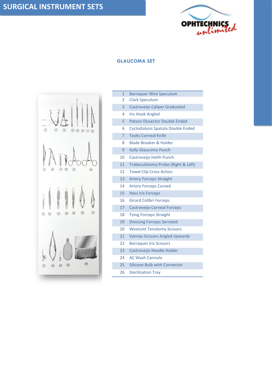

#### **GLAUCOMA SET**



| 1              | <b>Barraquer Wire Speculum</b>        |
|----------------|---------------------------------------|
| 2              | <b>Clark Speculum</b>                 |
| 3              | Castroveijo Caliper Graduated         |
| 4              | <b>Iris Hook Angled</b>               |
| 5              | <b>Patson Dissector Double Ended</b>  |
| 6              | Cyclodialysis Spatula Double Ended    |
| $\overline{7}$ | <b>Tooks Corneal Knife</b>            |
| 8              | <b>Blade Breaker &amp; Holder</b>     |
| 9              | <b>Kelly Glaucoma Punch</b>           |
| 10             | Castroveijo Holth Punch               |
| 11             | Trabeculotomy Probe (Right & Left)    |
| 12             | <b>Towel Clip Cross Action</b>        |
| 13             | <b>Artery Forceps Straight</b>        |
| 14             | <b>Artery Forceps Curved</b>          |
| 15             | <b>Hess Iris Forceps</b>              |
| 16             | <b>Girard Colibri Forceps</b>         |
| 17             | <b>Castroveijo Corneal Forceps</b>    |
| 18             | <b>Tying Forceps Straight</b>         |
| 19             | <b>Dressing Forceps Serrated</b>      |
| 20             | <b>Westcott Tenotomy Scissors</b>     |
| 21             | <b>Vannas Scissors Angled Upwards</b> |
| 22             | <b>Barraquer Iris Scissors</b>        |
| 23             | Castroveijo Needle Holder             |
| 24             | <b>AC Wash Cannula</b>                |
| 25             | <b>Silicone Bulb with Connector</b>   |
| 26             | <b>Sterilization Tray</b>             |
|                |                                       |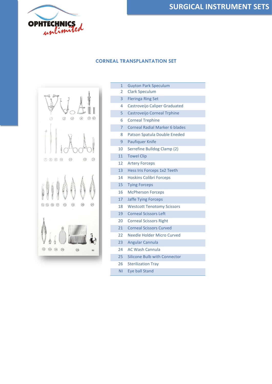

### **SURGICAL INSTRUMENT SETS**

#### **CORNEAL TRANSPLANTATION SET**



| $\overline{1}$ | <b>Guyton Park Speculum</b>           |
|----------------|---------------------------------------|
| 2              | <b>Clark Speculum</b>                 |
| 3              | <b>Fleringa Ring Set</b>              |
| 4              | Castroveijo Caliper Graduated         |
| 5              | Castroveijo Corneal Trphine           |
| 6              | <b>Corneal Trephine</b>               |
| $\overline{7}$ | <b>Corneal Radial Marker 6 blades</b> |
| 8              | Patson Spatula Double Eneded          |
| 9              | Paufiquer Knife                       |
| 10             | Serrefine Bulldog Clamp (2)           |
| 11             | <b>Towel Clip</b>                     |
| 12             | <b>Artery Forceps</b>                 |
| 13             | Hess Iris Forceps 1x2 Teeth           |
| 14             | <b>Hoskins Colibri Forceps</b>        |
| 15             | <b>Tying Forceps</b>                  |
| 16             | <b>McPherson Forceps</b>              |
| 17             | <b>Jaffe Tying Forceps</b>            |
| 18             | <b>Westcott Tenotomy Scissors</b>     |
| 19             | <b>Corneal Scissors Left</b>          |
| 20             | <b>Corneal Scissors Right</b>         |
| 21             | <b>Corneal Scissors Curved</b>        |
| 22             | Needle Holder Micro Curved            |
| 23             | <b>Angular Cannula</b>                |
| 24             | <b>AC Wash Cannula</b>                |
| 25             | <b>Silicone Bulb with Connector</b>   |
| 26             | <b>Sterilization Tray</b>             |
| ΝI             | <b>Eye ball Stand</b>                 |
|                |                                       |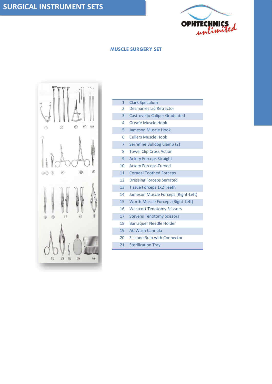

#### **MUSCLE SURGERY SET**



| $\mathbf{1}$    | <b>Clark Speculum</b>               |
|-----------------|-------------------------------------|
| 2               | <b>Desmarres Lid Retractor</b>      |
| $\overline{3}$  | Castroveijo Caliper Graduated       |
| 4               | <b>Greafe Muscle Hook</b>           |
| 5               | Jameson Muscle Hook                 |
| 6               | <b>Cullers Muscle Hook</b>          |
| $\overline{7}$  | Serrefine Bulldog Clamp (2)         |
| 8               | <b>Towel Clip Cross Action</b>      |
| 9               | <b>Artery Forceps Straight</b>      |
| 10              | <b>Artery Forceps Curved</b>        |
| 11              | <b>Corneal Toothed Forceps</b>      |
| 12              | <b>Dressing Forceps Serrated</b>    |
| 13              | <b>Tissue Forceps 1x2 Teeth</b>     |
| 14              | Jameson Muscle Forceps (Right-Left) |
| 15 <sup>2</sup> | Worth Muscle Forceps (Right-Left)   |
| 16              | <b>Westcott Tenotomy Scissors</b>   |
| 17              | <b>Stevens Tenotomy Scissors</b>    |
| 18              | <b>Barraquer Needle Holder</b>      |
| 19              | <b>AC Wash Cannula</b>              |
| 20              | Silicone Bulb with Connector        |
| 21              | <b>Sterilization Tray</b>           |
|                 |                                     |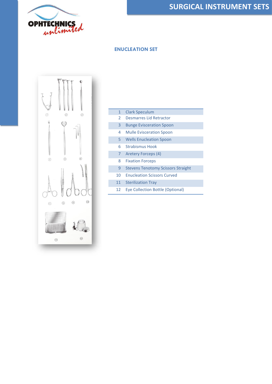

#### **ENUCLEATION SET**



| 1              | <b>Clark Speculum</b>                     |
|----------------|-------------------------------------------|
| $\mathcal{P}$  | Desmarres Lid Retractor                   |
| 3              | <b>Bunge Evisceration Spoon</b>           |
| 4              | <b>Mulle Evisceration Spoon</b>           |
| 5              | <b>Wells Enucleation Spoon</b>            |
| 6              | <b>Strabismus Hook</b>                    |
| $\overline{7}$ | Aretery Forceps (4)                       |
| 8              | <b>Fixation Forceps</b>                   |
| 9              | <b>Stevens Tenotomy Scissors Straight</b> |
| $10 \,$        | <b>Enucleation Scissors Curved</b>        |
| 11             | <b>Sterilization Tray</b>                 |
| 12             | <b>Eye Collection Bottle (Optional)</b>   |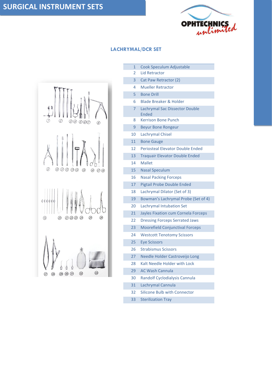

# $\circledcirc \circledcirc \circledcirc$  $\circledcirc$  $(1)$   $(1)$   $(1)$   $(1)$   $(1)$  $(15)$  $\widehat{16}$  $(17)(18)$  $(20)$ 21 22 23 24  $(25)$  $(19)$  $(26)$  $\circled{3}$ 29 30 31  $\circled{3}$  $(27)$  $(28)$

#### **LACHRYMAL/DCR SET**

- Cook Speculum Adjustable
- Lid Retractor
- Cat Paw Retractor (2)
- Mueller Retractor
- Bone Drill
- Blade Breaker & Holder
- Lachrymal Sac Dissector Double Ended
- Kerrison Bone Punch
- Beyur Bone Rongeur
- Lachrymal Chisel
- Bone Gauge
- Periosteal Elevator Double Ended
- Traquair Elevator Double Ended
- Mallet
- Nasal Speculum
- Nasal Packing Forceps
- Pigtail Probe Double Ended
- Lachrymal Dilator (Set of 3)
- Bowman's Lachrymal Probe (Set of 4)
- Lachrymal Intubation Set
- Jayles Fixation cum Cornela Forceps
- Dressing Forceps Serrated Jaws
- Moorefield Conjunctival Forceps
- Westcott Tenotomy Scissors
- Eye Scissors
- Strabismus Scissors
- Needle Holder Castroveijo Long
- Kalt Needle Holder with Lock
- AC Wash Cannula
- Randolf Cyclodialysis Cannula
- Lachrymal Cannula
- Silicone Bulb with Connector
- Sterilization Tray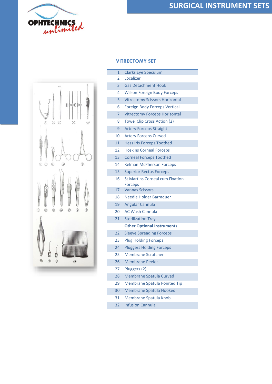

### **SURGICAL INSTRUMENT SETS**



| $\circled{2}$<br>î                           | $_{\tiny\textregistered}$<br>ı<br>ì<br>$\circledcirc$<br>$\circledS$<br>$\circledS$                                                                                                                     |
|----------------------------------------------|---------------------------------------------------------------------------------------------------------------------------------------------------------------------------------------------------------|
| $\odot$<br>$\circledcirc$<br>$\circledS$     | $\circledR$<br>$\circledcirc$                                                                                                                                                                           |
| ā<br>$\odot$<br>$\circledR$<br>$\circledR$   | $\circledR$<br>$\circledR$<br>$\circledR$<br>$\circledR$                                                                                                                                                |
| $\circledR$<br>$\circledcirc$<br>$\circledR$ | <br><b>MAXWELLERS</b><br><b>MARSHAM</b><br><br><br><br><br><br><br>■ 第 第 第 第 第 第 第 第 第<br><br><br><b>PARADICAL PROPERTY</b><br><br><b>NAMES OF GROOM</b><br><b>STATISTICS</b><br><b>CONTRACTOR</b><br>Ø |

|    | $\mathbf{1}$ | <b>Clarks Eye Speculum</b>                               |
|----|--------------|----------------------------------------------------------|
|    | 2            | Localizer                                                |
|    | 3            | <b>Gas Detachment Hook</b>                               |
|    | 4            | <b>Wilson Foreign Body Forceps</b>                       |
|    | 5            | <b>Vitrectomy Scissors Horizontal</b>                    |
|    | 6            | Foreign Body Forceps Vertical                            |
|    | 7            | <b>Vitrectomy Forceps Horizontal</b>                     |
|    | 8            | Towel Clip Cross Action (2)                              |
|    | 9            | <b>Artery Forceps Straight</b>                           |
|    | 10           | <b>Artery Forceps Curved</b>                             |
|    | 11           | <b>Hess Iris Forceps Toothed</b>                         |
|    | 12           | <b>Hoskins Corneal Forceps</b>                           |
|    | 13           | <b>Corneal Forceps Toothed</b>                           |
|    | 14           | <b>Kelman McPherson Forceps</b>                          |
|    | 15           | <b>Superior Rectus Forceps</b>                           |
|    | 16           | <b>St Martins Corneal cum Fixation</b><br><b>Forceps</b> |
|    | 17           | <b>Vannas Scissors</b>                                   |
|    | 18           | Needle Holder Barraquer                                  |
|    | 19           | Angular Cannula                                          |
|    | 20           | <b>AC Wash Cannula</b>                                   |
|    | 21           | <b>Sterilization Tray</b>                                |
|    |              | <b>Other Optional Instruments</b>                        |
| 22 |              | <b>Sleeve Spreading Forceps</b>                          |
| 23 |              | <b>Plug Holding Forceps</b>                              |
|    | 24           | <b>Pluggers Holding Forceps</b>                          |
| 25 |              | <b>Membrane Scratcher</b>                                |
|    | 26           | <b>Membrane Peeler</b>                                   |
| 27 |              | Pluggers (2)                                             |
| 28 |              | <b>Membrane Spatula Curved</b>                           |
|    | 29           | <b>Membrane Spatula Pointed Tip</b>                      |
| 30 |              | Membrane Spatula Hooked                                  |
| 31 |              | Membrane Spatula Knob                                    |
|    |              |                                                          |

Infusion Cannula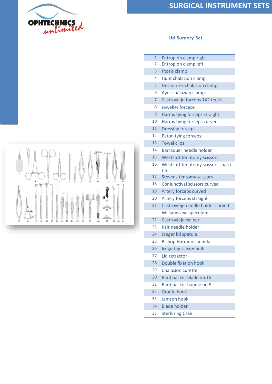



| $\overline{1}$ | Entropion clamp right                   |
|----------------|-----------------------------------------|
| 2              | <b>Entropion clamp left</b>             |
| 3              | Ptosis clamp                            |
| 4              | Hunt chalazion clamp                    |
| 5              | Desmarres chalazion clamp               |
| 6              | Ayer chalazian clamp                    |
| 7              | Castroviejo forceps 1X2 teeth           |
| 8              | Jeweller forceps                        |
| 9              | Harms tying forceps straight            |
| 10             | Harms tying forceps curved              |
| 11             | <b>Dressing forceps</b>                 |
| 12             | Paton tying forceps                     |
| 13             | <b>Towel clips</b>                      |
| 14             | Barraquer needle holder                 |
| 15             | <b>Westcott tenotomy scissors</b>       |
| 16             | Westcott tenotomy scissors sharp<br>tip |
| 17             | <b>Stevens tentomy scissors</b>         |
| 18             | Conjunctival scissors curved            |
| 19             | Artery forceps curved                   |
| 20             | Artery forceps straight                 |
| 21             | Castroviejo needle holder curved        |
|                | Williams eye speculum                   |
| 22             | Castroviejo caliper                     |
| 23             | Kalt needle holder                      |
| 24             | Jaeger lid spatula                      |
| 25             | <b>Bishop Harmon cannula</b>            |
| 26             | <b>Irrigating silicon bulb</b>          |
| 27             | Lid retractor                           |
| 28             | <b>Double fixation hook</b>             |
| 29             | Chalazion curette                       |
| 30             | Bard packer blade no.15                 |
| 31             | Bard packer handle no.9                 |
| 32             | <b>Graefe hook</b>                      |
| 33             | Jamson hook                             |
| 34             | <b>Blade holder</b>                     |
| 35             | <b>Sterilizing Case</b>                 |